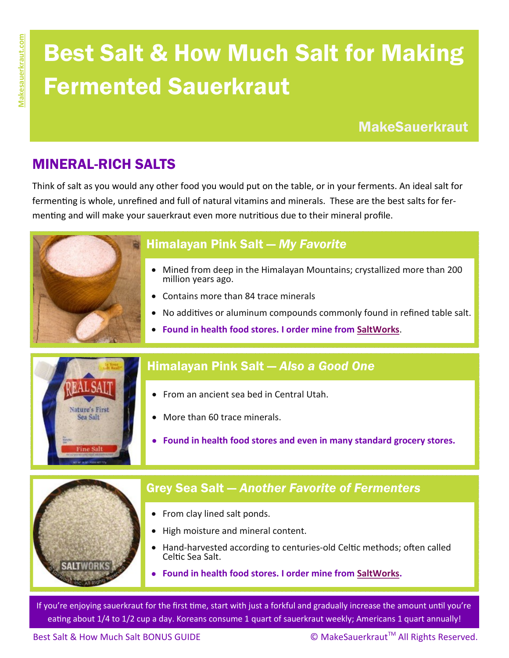# Best Salt & How Much Salt for Making Fermented Sauerkraut

**MakeSauerkraut** 

## MINERAL-RICH SALTS

Think of salt as you would any other food you would put on the table, or in your ferments. An ideal salt for fermenting is whole, unrefined and full of natural vitamins and minerals. These are the best salts for fermenting and will make your sauerkraut even more nutritious due to their mineral profile.



### Himalayan Pink Salt — *My Favorite*

- Mined from deep in the Himalayan Mountains; crystallized more than 200 million years ago.
- Contains more than 84 trace minerals
- No additives or aluminum compounds commonly found in refined table salt.
- **Found in health food stores. I order mine from [SaltWorks](http://www.saltworks.us/shop/product.asp?idProduct=373#.VNj6NvnF8qQ)**.



#### Himalayan Pink Salt — *Also a Good One*

- From an ancient sea bed in Central Utah.
- More than 60 trace minerals.
- **Found in health food stores and even in many standard grocery stores.**



## Grey Sea Salt — *Another Favorite of Fermenters*

- From clay lined salt ponds.
- High moisture and mineral content.
- Hand-harvested according to centuries-old Celtic methods; often called Celtic Sea Salt.
- **Found in health food stores. I order mine from [SaltWorks.](http://www.saltworks.us/shop/product.asp?idProduct=373#.VNj6NvnF8qQ)**

If you're enjoying sauerkraut for the first time, start with just a forkful and gradually increase the amount until you're eating about 1/4 to 1/2 cup a day. Koreans consume 1 quart of sauerkraut weekly; Americans 1 quart annually!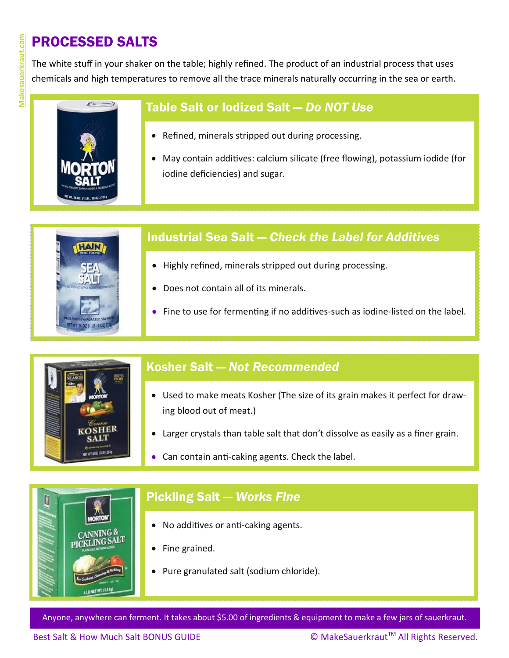# PROCESSED SALTS

The white stuff in your shaker on the table; highly refined. The product of an industrial process that uses chemicals and high temperatures to remove all the trace minerals naturally occurring in the sea or earth.



#### Table Salt or Iodized Salt — *Do NOT Use*

- Refined, minerals stripped out during processing.
- May contain additives: calcium silicate (free flowing), potassium iodide (for iodine deficiencies) and sugar.



#### Industrial Sea Salt — *Check the Label for Additives*

- Highly refined, minerals stripped out during processing.
- Does not contain all of its minerals.
- Fine to use for fermenting if no additives-such as iodine-listed on the label.



#### Kosher Salt — *Not Recommended*

- Used to make meats Kosher (The size of its grain makes it perfect for drawing blood out of meat.)
- Larger crystals than table salt that don't dissolve as easily as a finer grain.
- Can contain anti-caking agents. Check the label.



#### Pickling Salt — *Works Fine*

- No additives or anti-caking agents.
- Fine grained.
- Pure granulated salt (sodium chloride).

Anyone, anywhere can ferment. It takes about \$5.00 of ingredients & equipment to make a few jars of sauerkraut.